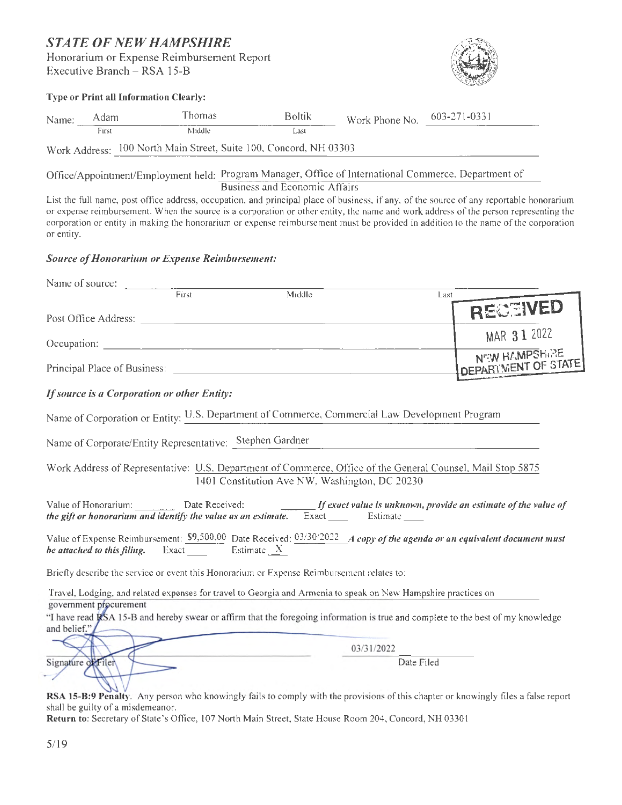## *STATE OF NEW HAMPSHIRE*  Honorarium or Expense Reimbursement Report

Executive Branch - RSA 15-B

#### **Type**

|       |       | <b>Type or Print all Information Clearly:</b>                     |               |                |              |
|-------|-------|-------------------------------------------------------------------|---------------|----------------|--------------|
| Name: | Adam  | Thomas                                                            | <b>Boltik</b> | Work Phone No. | 603-271-0331 |
|       | First | Middle                                                            | Last          |                |              |
|       |       | Work Address: 100 North Main Street, Suite 100, Concord, NH 03303 |               |                |              |

Office/Appointment/Employment held: Program Manager, Office of International Commerce, Department of Business and Economic Affairs

List the full name, post office address, occupation, and principal place of business, if any, of the source of any reportable honorarium or expense reimbursement. When the source is a corporation or other entity, the name and work address of the person representing the corporation or entity in making the honorarium or expense reimbursement must be provided in addition to the name of the corporation or entity.

#### *Source of Honorarium or Expense Reimbursement:*

| Name of source:                                                  |                                                                                                                                                                                                                              |            |                            |
|------------------------------------------------------------------|------------------------------------------------------------------------------------------------------------------------------------------------------------------------------------------------------------------------------|------------|----------------------------|
| First                                                            | Middle                                                                                                                                                                                                                       | Last       |                            |
|                                                                  |                                                                                                                                                                                                                              |            | RECEIVED                   |
|                                                                  |                                                                                                                                                                                                                              |            | MAR 31 2022                |
|                                                                  |                                                                                                                                                                                                                              |            | NEW HAMPSHIRE              |
|                                                                  |                                                                                                                                                                                                                              |            | <b>DEPARTMENT OF STATE</b> |
| If source is a Corporation or other Entity:                      |                                                                                                                                                                                                                              |            |                            |
|                                                                  | Name of Corporation or Entity: U.S. Department of Commerce, Commercial Law Development Program                                                                                                                               |            |                            |
|                                                                  | Name of Corporate/Entity Representative: Stephen Gardner                                                                                                                                                                     |            |                            |
|                                                                  | Work Address of Representative: U.S. Department of Commerce, Office of the General Counsel, Mail Stop 5875<br>1401 Constitution Ave NW, Washington, DC 20230                                                                 |            |                            |
|                                                                  | Value of Honorarium: Date Received: $If$ exact value is unknown, provide an estimate of the value of the value of the value of the value of the value of the value of the value of the value of the value of the value as an |            |                            |
| <i>be attached to this filing.</i> Exact Estimate $\overline{X}$ | Value of Expense Reimbursement: $\frac{S9,500,00}{S}$ Date Received: $\frac{03/30/2022}{S}$ A copy of the agenda or an equivalent document must                                                                              |            |                            |
|                                                                  | Briefly describe the service or event this Honorarium or Expense Reimbursement relates to:                                                                                                                                   |            |                            |
|                                                                  | Travel, Lodging, and related expenses for travel to Georgia and Armenia to speak on New Hampshire practices on                                                                                                               |            |                            |
| government procurement                                           |                                                                                                                                                                                                                              |            |                            |
| and belief."                                                     | "I have read RSA 15-B and hereby swear or affirm that the foregoing information is true and complete to the best of my knowledge                                                                                             |            |                            |
|                                                                  |                                                                                                                                                                                                                              | 03/31/2022 |                            |
| Signature of Filen                                               |                                                                                                                                                                                                                              | Date Filed |                            |

**RSA 15-B:9 Penalty.** Any person who knowingly fails to comply with the provisions of this chapter or knowingly files a false report shall be guilty of a misdemeanor.

Return to: Secretary of State's Office, 107 North Main Street, State House Room 204, Concord, NH 03301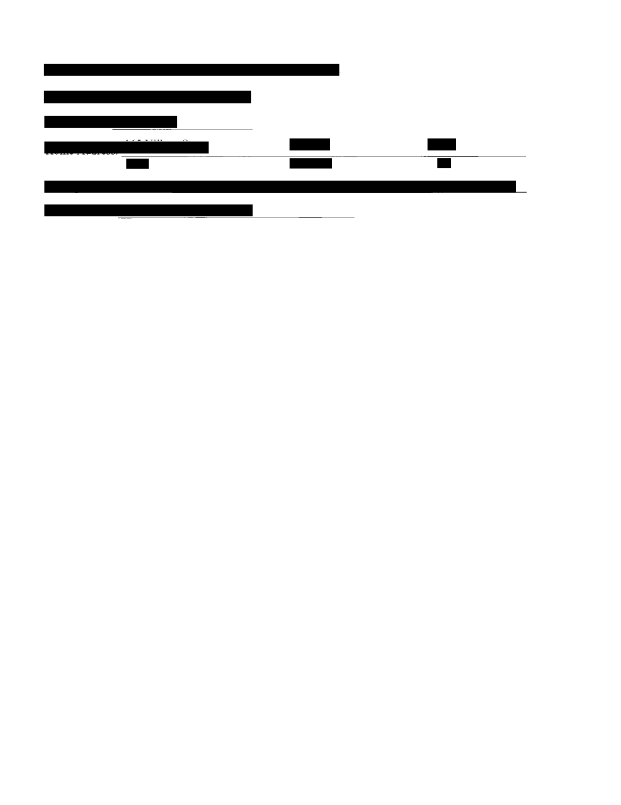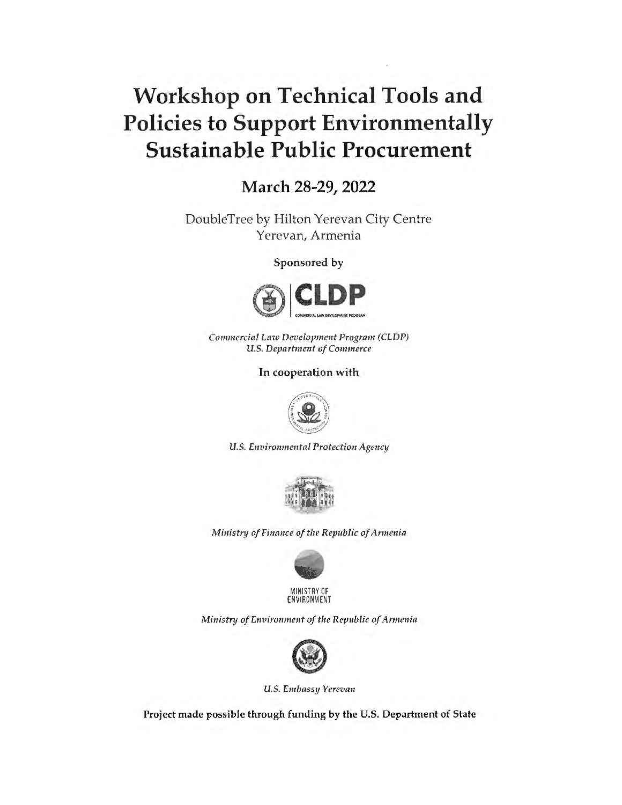# **Workshop on Technical Tools and Policies to Support Environmentally Sustainable Public Procurement**

**March 28-29, 2022** 

DoubleTree by Hilton Yerevan City Centre Yerevan, Armenia

Sponsored by



*Commercial Law Development Program (CLDP) U. S. Department of Commerce* 

In cooperation with



*U.S. Environmental Protection Agency* 



*Ministry of Finance of the Republic of Armenia* 



MINISTRY OF ENVIRONMENT

*Ministry of Environment of the Republic of Armenia* 



*U.S. Embassy Yerevan* 

Project made possible through funding by the U.S. Department of State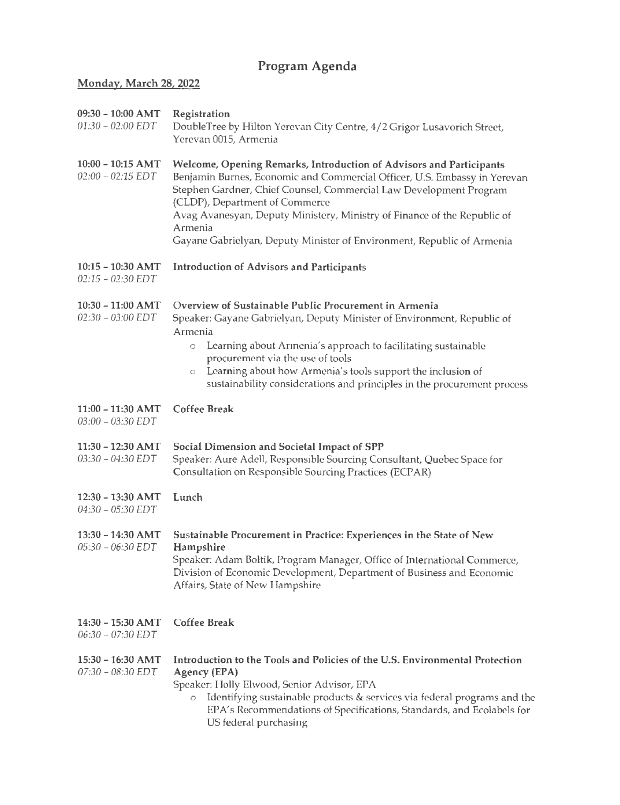# Program Agenda

### Monday, March 28, 2022

| 09:30 - 10:00 AMT<br>$01:30 - 02:00$ EDT | Registration<br>DoubleTree by Hilton Yerevan City Centre, 4/2 Grigor Lusavorich Street,<br>Yerevan 0015, Armenia                                                                                                                                                                                                                                                                                                          |
|------------------------------------------|---------------------------------------------------------------------------------------------------------------------------------------------------------------------------------------------------------------------------------------------------------------------------------------------------------------------------------------------------------------------------------------------------------------------------|
| 10:00 - 10:15 AMT<br>$02:00 - 02:15$ EDT | Welcome, Opening Remarks, Introduction of Advisors and Participants<br>Benjamin Burnes, Economic and Commercial Officer, U.S. Embassy in Yerevan<br>Stephen Gardner, Chief Counsel, Commercial Law Development Program<br>(CLDP), Department of Commerce<br>Avag Avanesyan, Deputy Ministery, Ministry of Finance of the Republic of<br>Armenia<br>Gayane Gabrielyan, Deputy Minister of Environment, Republic of Armenia |
| 10:15 - 10:30 AMT<br>$02:15 - 02:30$ EDT | <b>Introduction of Advisors and Participants</b>                                                                                                                                                                                                                                                                                                                                                                          |
| 10:30 - 11:00 AMT<br>$02:30 - 03:00$ EDT | Overview of Sustainable Public Procurement in Armenia<br>Speaker: Gayane Gabrielvan, Deputy Minister of Environment, Republic of<br>Armenia<br>Learning about Armenia's approach to facilitating sustainable<br>$\circ$<br>procurement via the use of tools<br>Learning about how Armenia's tools support the inclusion of<br>$\circ$<br>sustainability considerations and principles in the procurement process          |
| 11:00 - 11:30 AMT<br>03:00 - 03:30 EDT   | <b>Coffee Break</b>                                                                                                                                                                                                                                                                                                                                                                                                       |
| 11:30 - 12:30 AMT<br>03:30 - 04:30 EDT   | Social Dimension and Societal Impact of SPP<br>Speaker: Aure Adell, Responsible Sourcing Consultant, Quebec Space for<br>Consultation on Responsible Sourcing Practices (ECPAR)                                                                                                                                                                                                                                           |
| 12:30 - 13:30 AMT<br>04:30 - 05:30 EDT   | Lunch                                                                                                                                                                                                                                                                                                                                                                                                                     |
| 13:30 - 14:30 AMT<br>05:30 - 06:30 EDT   | Sustainable Procurement in Practice: Experiences in the State of New<br>Hampshire<br>Speaker: Adam Boltik, Program Manager, Office of International Commerce,<br>Division of Economic Development, Department of Business and Economic<br>Affairs, State of New Hampshire                                                                                                                                                 |
| 14:30 - 15:30 AMT<br>06:30 - 07:30 EDT   | <b>Coffee Break</b>                                                                                                                                                                                                                                                                                                                                                                                                       |
| 15:30 - 16:30 AMT<br>07:30 - 08:30 EDT   | Introduction to the Tools and Policies of the U.S. Environmental Protection<br>Agency (EPA)<br>Speaker: Holly Elwood, Senior Advisor, EPA<br>Identifying sustainable products & services via federal programs and the<br>EPA's Recommendations of Specifications, Standards, and Ecolabels for<br>US federal purchasing                                                                                                   |

 $\sim 10^{-1}$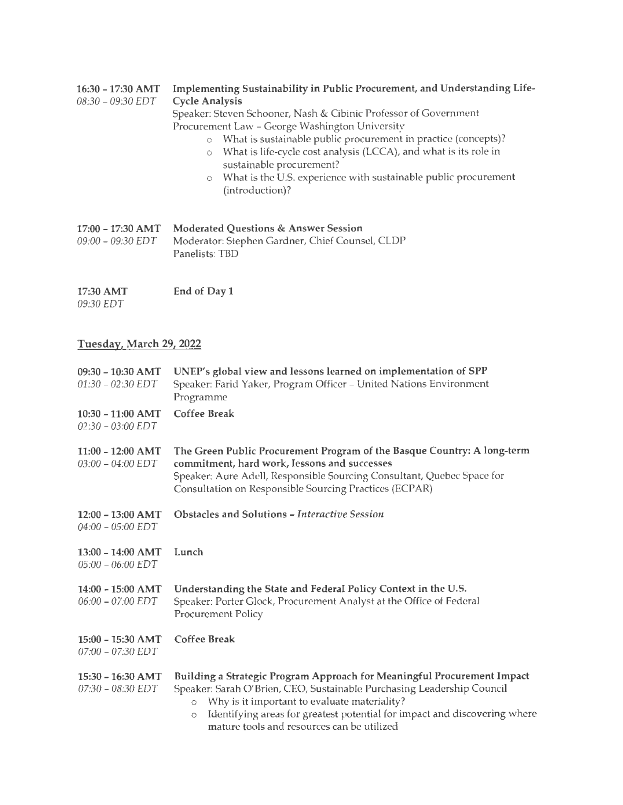#### 16:30 - 17:30 **AMT**  *08:30* - *09:30 EDT*  **Implementing Sustainability in Public Procurement, and Understanding Life-Cycle Analysis**

Speaker: Steven Schooner, Nash & Cibinic Professor of Government Procurement Law - George Washington University o What is sustainable public procurement in practice (concepts)?

- o What is life-cycle cost analysis (LCCA), and what is its role in sustainable procurement?
- o What is the U.S. experience with sustainable public procurement (introduction)?

| 17:00 – 17:30 AMT | <b>Moderated Questions &amp; Answer Session</b> |
|-------------------|-------------------------------------------------|
| 09:00 – 09:30 EDT | Moderator: Stephen Gardner, Chief Counsel, CLDP |
|                   | Panelists: TBD                                  |

**17:30AMT**  *09:30 EDT*  **End of Dayl** 

#### **Tuesday, March 29, 2022**

| 09:30 - 10:30 AMT<br>$01:30 - 02:30$ EDT   | UNEP's global view and lessons learned on implementation of SPP<br>Speaker: Farid Yaker, Program Officer - United Nations Environment<br>Programme                                                                                                                                                                                                 |
|--------------------------------------------|----------------------------------------------------------------------------------------------------------------------------------------------------------------------------------------------------------------------------------------------------------------------------------------------------------------------------------------------------|
| $10:30 - 11:00$ AMT<br>$02:30 - 03:00$ EDT | Coffee Break                                                                                                                                                                                                                                                                                                                                       |
| $11:00 - 12:00$ AMT<br>$03:00 - 04:00$ EDT | The Green Public Procurement Program of the Basque Country: A long-term<br>commitment, hard work, Iessons and successes<br>Speaker: Aure Adell, Responsible Sourcing Consultant, Quebec Space for<br>Consultation on Responsible Sourcing Practices (ECPAR)                                                                                        |
| 12:00 - 13:00 AMT<br>$04:00 - 05:00$ EDT   | Obstacles and Solutions - Interactive Session                                                                                                                                                                                                                                                                                                      |
| 13:00 - 14:00 AMT<br>$05:00 - 06:00$ EDT   | Lunch                                                                                                                                                                                                                                                                                                                                              |
| 14:00 - 15:00 AMT<br>$06:00 - 07:00$ EDT   | Understanding the State and Federal Policy Context in the U.S.<br>Speaker: Porter Glock, Procurement Analyst at the Office of Federal<br><b>Procurement Policy</b>                                                                                                                                                                                 |
| 15:00 - 15:30 AMT<br>$07:00 - 07:30$ EDT   | <b>Coffee Break</b>                                                                                                                                                                                                                                                                                                                                |
| 15:30 - 16:30 AMT<br>07:30 - 08:30 EDT     | Building a Strategic Program Approach for Meaningful Procurement Impact<br>Speaker: Sarah O'Brien, CEO, Sustainable Purchasing Leadership Council<br>Why is it important to evaluate materiality?<br>$\circ$<br>Identifying areas for greatest potential for impact and discovering where<br>$\circ$<br>mature tools and resources can be utilized |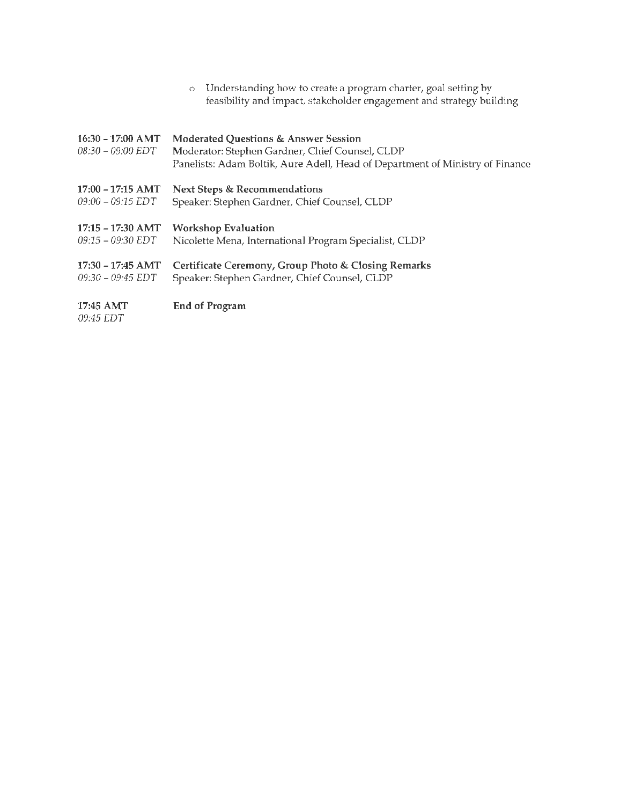|                                          | Understanding how to create a program charter, goal setting by<br>$\circ$<br>feasibility and impact, stakeholder engagement and strategy building                                   |
|------------------------------------------|-------------------------------------------------------------------------------------------------------------------------------------------------------------------------------------|
| 16:30 - 17:00 AMT<br>$08:30 - 09:00$ EDT | <b>Moderated Questions &amp; Answer Session</b><br>Moderator: Stephen Gardner, Chief Counsel, CLDP<br>Panelists: Adam Boltik, Aure Adell, Head of Department of Ministry of Finance |
| $17:00 - 17:15$ AMT                      | <b>Next Steps &amp; Recommendations</b>                                                                                                                                             |
| $09:00 - 09:15$ EDT                      | Speaker: Stephen Gardner, Chief Counsel, CLDP                                                                                                                                       |
| 17:15 - 17:30 AMT                        | <b>Workshop Evaluation</b>                                                                                                                                                          |
| $09:15 - 09:30$ EDT                      | Nicolette Mena, International Program Specialist, CLDP                                                                                                                              |
| $17:30 - 17:45$ AMT                      | Certificate Ceremony, Group Photo & Closing Remarks                                                                                                                                 |
| $09:30 - 09:45$ EDT                      | Speaker: Stephen Gardner, Chief Counsel, CLDP                                                                                                                                       |
| 17:45 AMT                                | <b>End of Program</b>                                                                                                                                                               |

*09:45 EDT*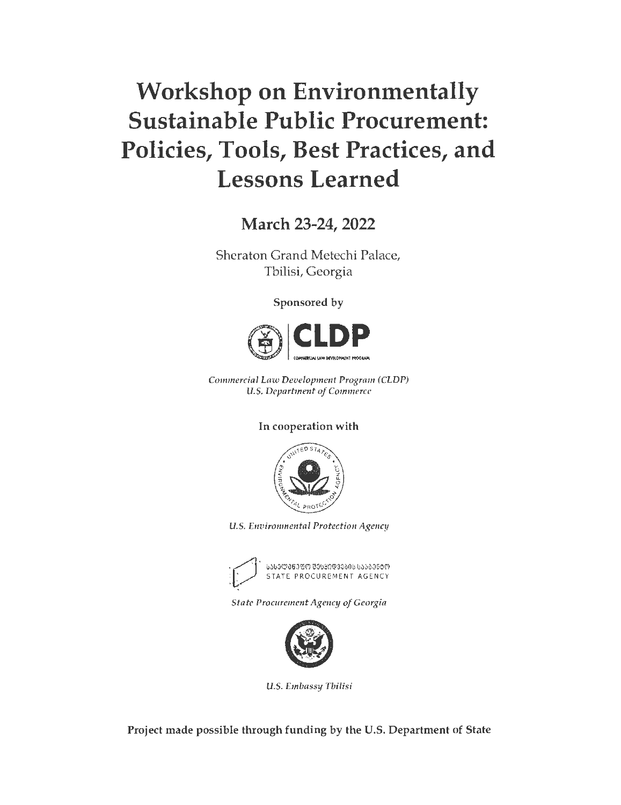# **Workshop on Environmentally Sustainable Public Procurement: Policies, Tools, Best Practices, and Lessons Learned**

**March 23-24, 2022** 

Sheraton Grand Metechi Palace, Tbilisi, Georgia

Sponsored by



*Commercial Law Development Program (CLDP) U.S. Department of Commerce* 

### In cooperation with



*U.S. Environmental Protection Agency* 



*State Procurement Agency of Georgia* 



*U.S. Embassy Tbilisi* 

Project made possible through funding by the U.S. Department of State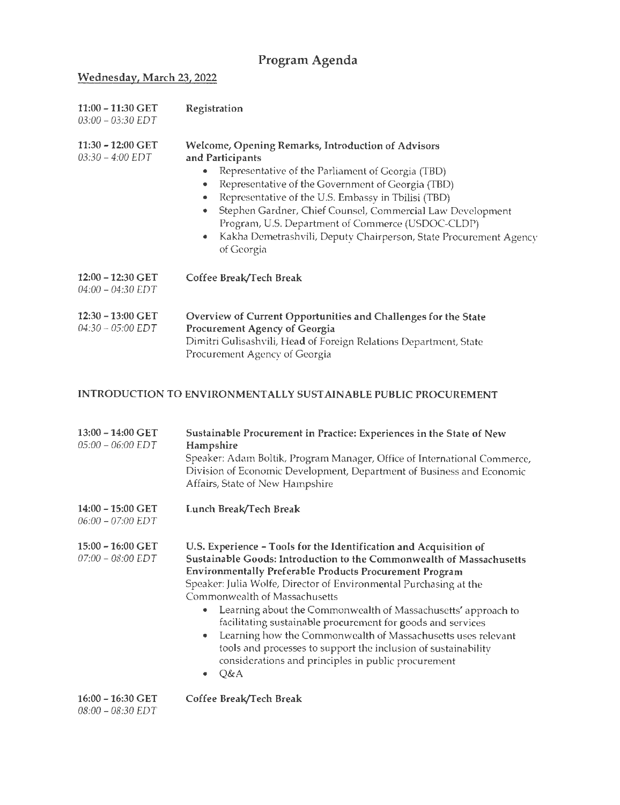# **Program Agenda**

# **Wednesday, March 23, 2022**

| 11:00 - 11:30 GET<br>$03:00 - 03:30$ EDT  | Registration                                                                                                                                                                                                                                                                                                                                                                                                                                                      |
|-------------------------------------------|-------------------------------------------------------------------------------------------------------------------------------------------------------------------------------------------------------------------------------------------------------------------------------------------------------------------------------------------------------------------------------------------------------------------------------------------------------------------|
| $11:30 - 12:00$ GET<br>$03:30 - 4:00$ EDT | <b>Welcome, Opening Remarks, Introduction of Advisors</b><br>and Participants<br>Representative of the Parliament of Georgia (TBD)<br>Representative of the Government of Georgia (TBD)<br>Representative of the U.S. Embassy in Tbilisi (TBD)<br>Stephen Gardner, Chief Counsel, Commercial Law Development<br>Program, U.S. Department of Commerce (USDOC-CLDP)<br>Kakha Demetrashvili, Deputy Chairperson, State Procurement Agency<br>$\bullet$<br>of Georgia |
| 12:00 - 12:30 GET<br>04:00 - 04:30 EDT    | Coffee Break/Tech Break                                                                                                                                                                                                                                                                                                                                                                                                                                           |
| 12:30 - 13:00 GET<br>$04:30 - 05:00$ EDT  | Overview of Current Opportunities and Challenges for the State<br>Procurement Agency of Georgia<br>Dimitri Gulisashvili, Head of Foreign Relations Department, State<br>Procurement Agency of Georgia                                                                                                                                                                                                                                                             |

### INTRODUCTION TO ENVIRONMENT ALLY SUSTAINABLE PUBLIC PROCUREMENT

| 13:00 - 14:00 GET<br>$05:00 - 06:00$ EDT   | Sustainable Procurement in Practice: Experiences in the State of New<br>Hampshire<br>Speaker: Adam Boltik, Program Manager, Office of International Commerce,<br>Division of Economic Development, Department of Business and Economic<br>Affairs, State of New Hampshire                                                                                                                                                                                                                                                                                                                                                                                        |
|--------------------------------------------|------------------------------------------------------------------------------------------------------------------------------------------------------------------------------------------------------------------------------------------------------------------------------------------------------------------------------------------------------------------------------------------------------------------------------------------------------------------------------------------------------------------------------------------------------------------------------------------------------------------------------------------------------------------|
| 14:00 - 15:00 GET<br>$06:00 - 07:00$ EDT   | Lunch Break/Tech Break                                                                                                                                                                                                                                                                                                                                                                                                                                                                                                                                                                                                                                           |
| 15:00 - 16:00 GET<br>$07:00 - 08:00$ EDT   | U.S. Experience - Tools for the Identification and Acquisition of<br>Sustainable Goods: Introduction to the Commonwealth of Massachusetts<br><b>Environmentally Preferable Products Procurement Program</b><br>Speaker: Julia Wolfe, Director of Environmental Purchasing at the<br>Commonwealth of Massachusetts<br>Learning about the Commonwealth of Massachusetts' approach to<br>۰<br>facilitating sustainable procurement for goods and services<br>Learning how the Commonwealth of Massachusetts uses relevant<br>۰<br>tools and processes to support the inclusion of sustainability<br>considerations and principles in public procurement<br>Q&A<br>٠ |
| $16:00 - 16:30$ GET<br>$08:00 - 08:30$ EDT | Coffee Break/Tech Break                                                                                                                                                                                                                                                                                                                                                                                                                                                                                                                                                                                                                                          |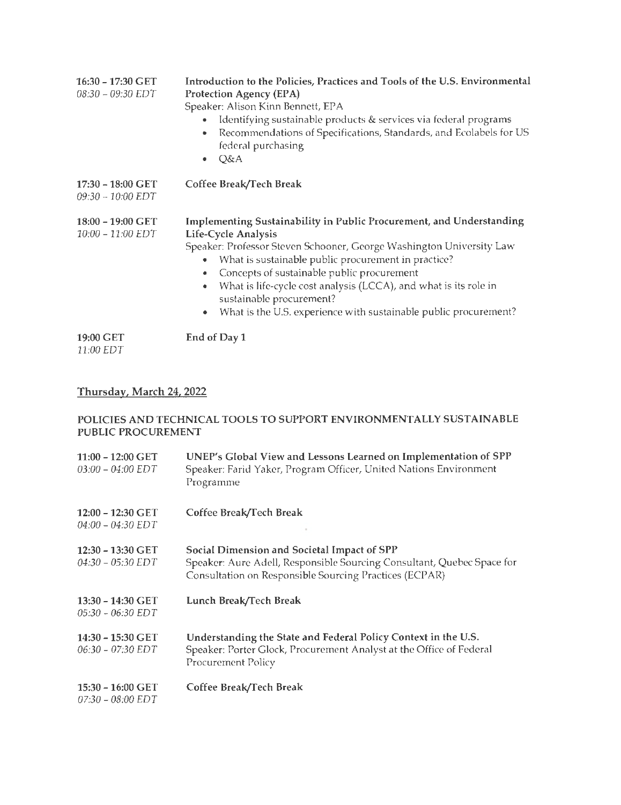| 16:30 - 17:30 GET<br>08:30 - 09:30 EDT   | Introduction to the Policies, Practices and Tools of the U.S. Environmental<br><b>Protection Agency (EPA)</b><br>Speaker: Alison Kinn Bennett, EPA<br>Identifying sustainable products & services via federal programs<br>Recommendations of Specifications, Standards, and Ecolabels for US<br>federal purchasing<br>Q&A<br>٠                                                                                                               |
|------------------------------------------|----------------------------------------------------------------------------------------------------------------------------------------------------------------------------------------------------------------------------------------------------------------------------------------------------------------------------------------------------------------------------------------------------------------------------------------------|
| 17:30 - 18:00 GET<br>$09:30 - 10:00$ EDT | Coffee Break/Tech Break                                                                                                                                                                                                                                                                                                                                                                                                                      |
| 18:00 - 19:00 GET<br>10:00 - 11:00 EDT   | Implementing Sustainability in Public Procurement, and Understanding<br>Life-Cycle Analysis<br>Speaker: Professor Steven Schooner, George Washington University Law<br>What is sustainable public procurement in practice?<br>Concepts of sustainable public procurement<br>What is life-cycle cost analysis (LCCA), and what is its role in<br>sustainable procurement?<br>What is the U.S. experience with sustainable public procurement? |
| 19:00 GET<br>11:00 EDT                   | End of Day 1                                                                                                                                                                                                                                                                                                                                                                                                                                 |

### Thursday, March 24, 2022

### POLICIES AND TECHNICAL TOOLS TO SUPPORT ENVIRONMENTALLY SUSTAINABLE PUBLIC PROCUREMENT

| $11:00 - 12:00$ GET<br>$03:00 - 04:00$ EDT | UNEP's Global View and Lessons Learned on Implementation of SPP<br>Speaker: Farid Yaker, Program Officer, United Nations Environment<br>Programme                               |
|--------------------------------------------|---------------------------------------------------------------------------------------------------------------------------------------------------------------------------------|
| 12:00 - 12:30 GET<br>$04:00 - 04:30 EDT$   | Coffee Break/Tech Break                                                                                                                                                         |
| 12:30 - 13:30 GET<br>$04:30 - 05:30$ EDT   | Social Dimension and Societal Impact of SPP<br>Speaker: Aure Adell, Responsible Sourcing Consultant, Quebec Space for<br>Consultation on Responsible Sourcing Practices (ECPAR) |
| 13:30 - 14:30 GET<br>05:30 - 06:30 EDT     | Lunch Break/Tech Break                                                                                                                                                          |
| 14:30 - 15:30 GET<br>$06:30 - 07:30$ EDT   | Understanding the State and Federal Policy Context in the U.S.<br>Speaker: Porter Glock, Procurement Analyst at the Office of Federal<br>Procurement Policy                     |
| 15:30 - 16:00 GET<br>$07:30 - 08:00$ EDT   | Coffee Break/Tech Break                                                                                                                                                         |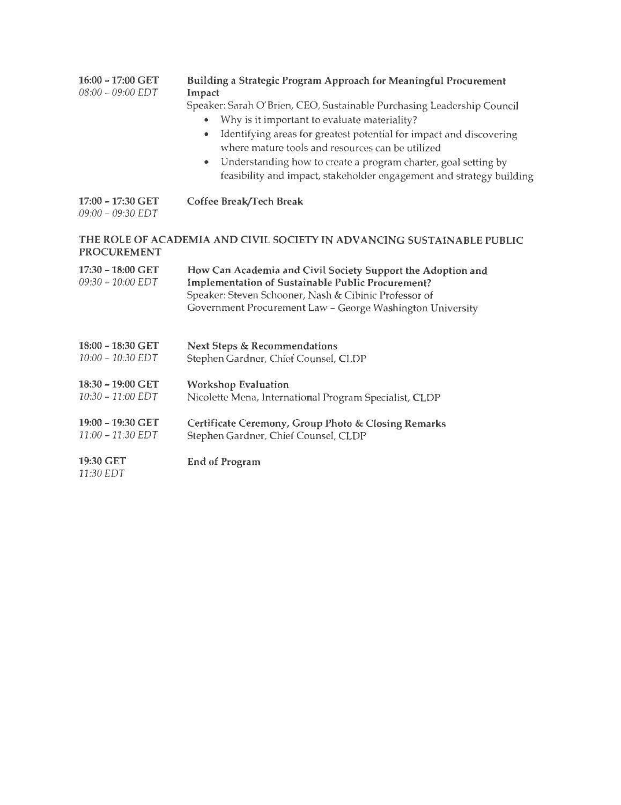| 16:00 - 17:00 GET<br>$08:00 - 09:00$ EDT | Building a Strategic Program Approach for Meaningful Procurement<br>Impact<br>Speaker: Sarah O'Brien, CEO, Sustainable Purchasing Leadership Council<br>Why is it important to evaluate materiality?<br>Identifying areas for greatest potential for impact and discovering<br>where mature tools and resources can be utilized<br>Understanding how to create a program charter, goal setting by<br>feasibility and impact, stakeholder engagement and strategy building |
|------------------------------------------|---------------------------------------------------------------------------------------------------------------------------------------------------------------------------------------------------------------------------------------------------------------------------------------------------------------------------------------------------------------------------------------------------------------------------------------------------------------------------|
| 17:00 - 17:30 GET<br>09:00 - 09:30 EDT   | Coffee Break/Tech Break                                                                                                                                                                                                                                                                                                                                                                                                                                                   |
| <b>PROCUREMENT</b>                       | THE ROLE OF ACADEMIA AND CIVIL SOCIETY IN ADVANCING SUSTAINABLE PUBLIC                                                                                                                                                                                                                                                                                                                                                                                                    |
| 17:30 - 18:00 GET<br>09:30 - 10:00 EDT   | How Can Academia and Civil Society Support the Adoption and<br><b>Implementation of Sustainable Public Procurement?</b><br>Speaker: Steven Schooner, Nash & Cibinic Professor of<br>Government Procurement Law - George Washington University                                                                                                                                                                                                                             |
| 18:00 - 18:30 GET<br>10:00 - 10:30 EDT   | <b>Next Steps &amp; Recommendations</b><br>Stephen Gardner, Chief Counsel, CLDP                                                                                                                                                                                                                                                                                                                                                                                           |
| 18:30 - 19:00 GET<br>10:30 - 11:00 EDT   | <b>Workshop Evaluation</b><br>Nicolette Mena, International Program Specialist, CLDP                                                                                                                                                                                                                                                                                                                                                                                      |
| 19:00 - 19:30 GET<br>11:00 - 11:30 EDT   | Certificate Ceremony, Group Photo & Closing Remarks<br>Stephen Gardner, Chief Counsel, CLDP                                                                                                                                                                                                                                                                                                                                                                               |
| 19:30 GET<br>11:30 EDT                   | <b>End of Program</b>                                                                                                                                                                                                                                                                                                                                                                                                                                                     |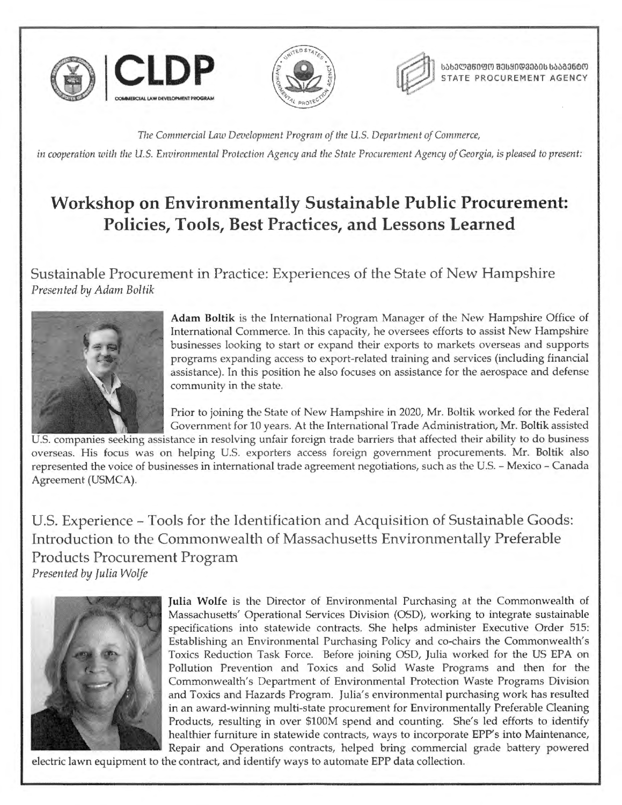





**lisb3@860@0 83l90@3380b bSS836@0 STATE PROCUREMENT AGENCY** 

*The Commercial Lnw Development Program of the U.S. Department of Commerce,*  in cooperation with the U.S. Environmental Protection Agency and the State Procurement Agency of Georgia, is pleased to present:

# **Workshop on Environmentally Sustainable Public Procurement: Policies, Tools, Best Practices, and Lessons Learned**

Sustainable Procurement in Practice: Experiences of the State of New Hampshire *Presented* by *Adam Boltik* 



**Adam Boltik** is the International Program Manager of the New Hampshire Office of International Commerce. In this capacity, he oversees efforts to assist New Hampshire businesses looking to start or expand their exports to markets overseas and supports programs expanding access to export-related training and services (including financial assistance). In this position he also focuses on assistance for the aerospace and defense community in the state.

Prior to joining the State of New Hampshire in 2020, Mr. Boltik worked for the Federal Government for 10 years. At the International Trade Administration, Mr. Boltik assisted

U.S. companies seeking assistance in resolving unfair foreign trade barriers that affected their ability to do business overseas. His focus was on helping U.S. exporters access foreign government procurements. Mr. Boltik also represented the voice of businesses in international trade agreement negotiations, such as the U.S. - Mexico - Canada Agreement (USMCA).

U.S. Experience - Tools for the Identification and Acquisition of Sustainable Goods: Introduction to the Commonwealth of Massachusetts Environmentally Preferable Products Procurement Program *Presented* by *Julia Wolfe* 



Julia Wolfe is the Director of Environmental Purchasing at the Commonwealth of Massachusetts' Operational Services Division (OSD), working to integrate sustainable specifications into statewide contracts. She helps administer Executive Order 515: Establishing an Environmental Purchasing Policy and co-chairs the Commonwealth's Toxics Reduction Task Force. Before joining OSD, Julia worked for the US EPA on Pollution Prevention and Toxics and Solid Waste Programs and then for the Commonwealth's Department of Environmental Protection Waste Programs Division and Toxics and Hazards Program. Julia's environmental purchasing work has resulted in an award-winning multi-state procurement for Environmentally Preferable Cleaning Products, resulting in over \$100M spend and counting. She's led efforts to identify healthier furniture in statewide contracts, ways to incorporate EPP's into Maintenance, Repair and Operations contracts, helped bring commercial grade battery powered

electric lawn equipment to the contract, and identify ways to automate EPP data collection.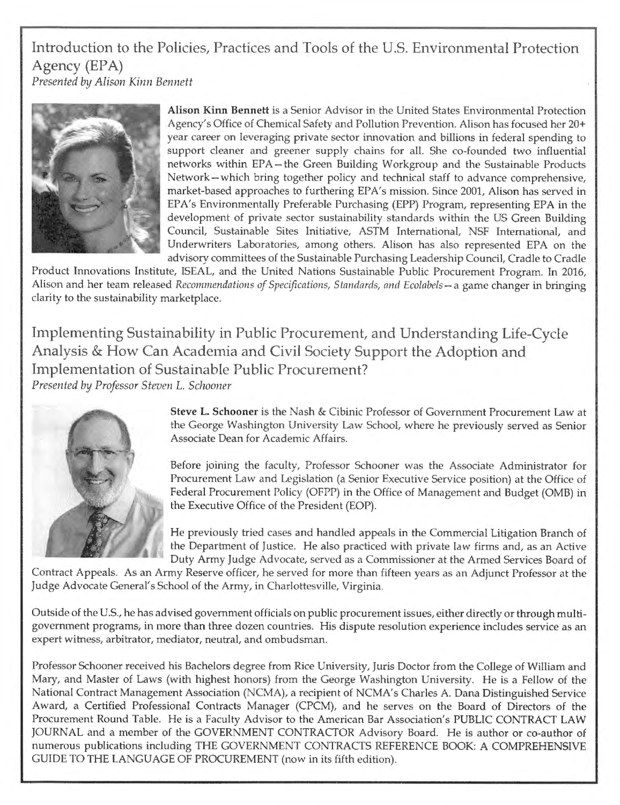Introduction to the Policies, Practices and Tools of the U.S. Environmental Protection Agency (EPA) *Presented* by *Alison Kinn Bennett* 



**Alison Kinn Bennett** is a Senior Advisor in the United States Environmental Protection Agency's Office of Chemical Safety and Pollution Prevention. Alison has focused her 20+ year career on leveraging private sector innovation and billions in federal spending to support cleaner and greener supply chains for all. She co-founded two influential networks within EPA-the Green Building Workgroup and the Sustainable Products Network-which bring together policy and technical staff to advance comprehensive, market-based approaches to furthering EPA's mission. Since 2001, Alison has served in EPA's Environmentally Preferable Purchasing (EPP) Program, representing EPA in the development of private sector sustainability standards within the US Green Building Council, Sustainable Sites Initiative, ASTM International, NSF International, and Underwriters Laboratories, among others. Alison has also represented EPA on the advisory committees of the Sustainable Purchasing Leadership Council, Cradle to Cradle

Product Innovations Institute, ISEAL, and the United Nations Sustainable Public Procurement Program. In 2016, Alison and her team released *Recommendations of Specifications, Standards, and Ecolabels-a* game changer in bringing clarity to the sustainability marketplace.

Implementing Sustainability in Public Procurement, and Understanding Life-Cycle Analysis & How Can Academia and Civil Society Support the Adoption and Implementation of Sustainable Public Procurement? *Presented* by *Professor Steven* L. *Schooner* 



**Steve L. Schooner** is the Nash & Cibinic Professor of Government Procurement Law at the George Washington University Law School, where he previously served as Senior Associate Dean for Academic Affairs.

Before joining the faculty, Professor Schooner was the Associate Administrator for Procurement Law and Legislation (a Senior Executive Service position) at the Office of Federal Procurement Policy (OFPP) in the Office of Management and Budget (0MB) in the Executive Office of the President (EOP).

He previously tried cases and handled appeals in the Commercial Litigation Branch of the Department of Justice. He also practiced with private law firms and, as an Active Duty Army Judge Advocate, served as a Commissioner at the Armed Services Board of

Contract Appeals. As an Army Reserve officer, he served for more than fifteen years as an Adjunct Professor at the Judge Advocate General's School of the Army, in Charlottesville, Virginia.

Outside of the U.S., he has advised government officials on public procurement issues, either directly or through multigovernment programs, in more than three dozen countries. His dispute resolution experience includes service as an expert witness, arbitrator, mediator, neutral, and ombudsman.

Professor Schooner received his Bachelors degree from Rice University, Juris Doctor from the College of William and Mary, and Master of Laws (with highest honors) from the George Washington University. He is a Fellow of the National Contract Management Association (NCMA), a recipient of NCMA's Charles A. Dana Distinguished Service Award, a Certified Professional Contracts Manager (CPCM), and he serves on the Board of Directors of the Procurement Round Table. He is a Faculty Advisor to the American Bar Association's PUBLIC CONTRACT LAW JOURNAL and a member of the GOVERNMENT CONTRACTOR Advisory Board. He is author or co-author of numerous publications including THE GOVERNMENT CONTRACTS REFERENCE BOOK: A COMPREHENSIVE GUIDE TO THE LANGUAGE OF PROCUREMENT (now in its fifth edition).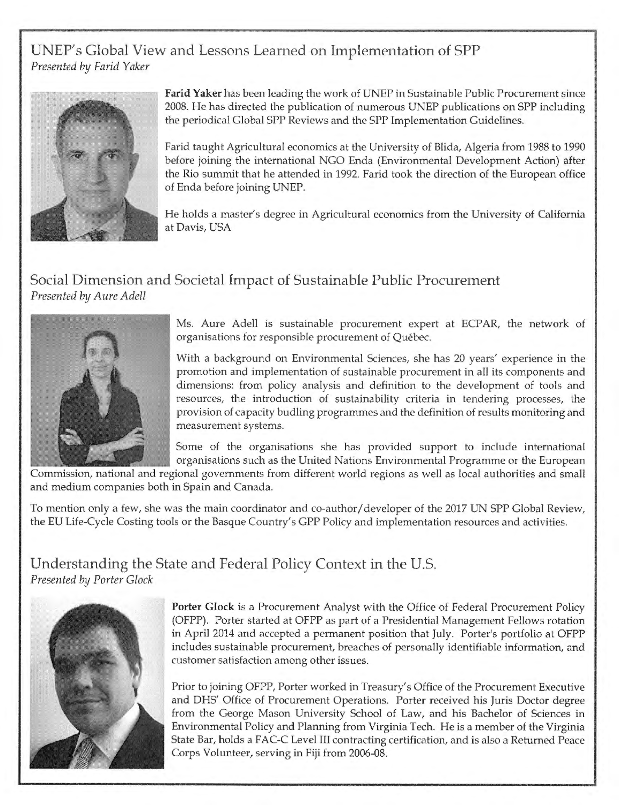# UNEP's Global View and Lessons Learned on Implementation of SPP *Presented* by *Farid Yaker*



**Farid Yaker** has been leading the work of UNEP in Sustainable Public Procurement since 2008. He has directed the publication of numerous UNEP publications on SPP including the periodical Global SPP Reviews and the SPP Implementation Guidelines.

Farid taught Agricultural economics at the University of Blida, Algeria from 1988 to 1990 before joining the international NGO Enda (Environmental Development Action) after the Rio summit that he attended in 1992. Farid took the direction of the European office of Enda before joining UNEP.

He holds a master's degree in Agricultural economics from the University of California at Davis, USA

# Social Dimension and Societal Impact of Sustainable Public Procurement *Presented* by *Aure Adell*



Ms. Aure Adell is sustainable procurement expert at ECPAR, the network of organisations for responsible procurement of Quebec.

With a background on Environmental Sciences, she has 20 years' experience in the promotion and implementation of sustainable procurement in all its components and dimensions: from policy analysis and definition to the development of tools and resources, the introduction of sustainability criteria in tendering processes, the provision of capacity budling programmes and the definition of results monitoring and measurement systems.

Some of the organisations she has provided support to include international organisations such as the United Nations Environmental Programme or the European

Commission, national and regional governments from different world regions as well as local authorities and small and medium companies both in Spain and Canada.

To mention only a few, she was the main coordinator and co-author/ developer of the 2017 UN SPP Global Review, the EU Life-Cycle Costing tools or the Basque Country's GPP Policy and implementation resources and activities.

## Understanding the State and Federal Policy Context in the U.S. *Presented* by *Porter Glock*



**Porter Glock** is a Procurement Analyst with the Office of Federal Procurement Policy (OFPP). Porter started at OFPP as part of a Presidential Management Fellows rotation in April 2014 and accepted a permanent position that July. Porter's portfolio at OFPP includes sustainable procurement, breaches of personally identifiable information, and customer satisfaction among other issues.

Prior to joining OFPP, Porter worked in Treasury's Office of the Procurement Executive and DHS' Office of Procurement Operations. Porter received his Juris Doctor degree from the George Mason University School of Law, and his Bachelor of Sciences in Environmental Policy and Planning from Virginia Tech. He is a member of the Virginia State Bar, holds a FAC-C Level III contracting certification, and is also a Returned Peace Corps Volunteer, serving in Fiji from 2006-08.